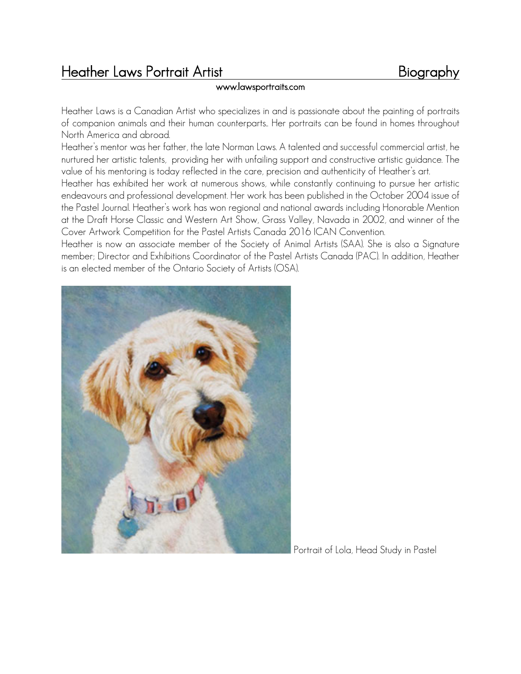# Heather Laws Portrait Artist<br>www.lawsportraits.com Biography

Heather Laws is a Canadian Artist who specializes in and is passionate about the painting of portraits of companion animals and their human counterparts.. Her portraits can be found in homes throughout North America and abroad.

Heather's mentor was her father, the late Norman Laws. A talented and successful commercial artist, he nurtured her artistic talents, providing her with unfailing support and constructive artistic guidance. The value of his mentoring is today reflected in the care, precision and authenticity of Heather's art.

Heather has exhibited her work at numerous shows, while constantly continuing to pursue her artistic endeavours and professional development. Her work has been published in the October 2004 issue of the Pastel Journal. Heather's work has won regional and national awards including Honorable Mention at the Draft Horse Classic and Western Art Show, Grass Valley, Navada in 2002, and winner of the Cover Artwork Competition for the Pastel Artists Canada 2016 ICAN Convention.

Heather is now an associate member of the Society of Animal Artists (SAA). She is also a Signature member; Director and Exhibitions Coordinator of the Pastel Artists Canada (PAC). In addition, Heather is an elected member of the Ontario Society of Artists (OSA).



Portrait of Lola, Head Study in Pastel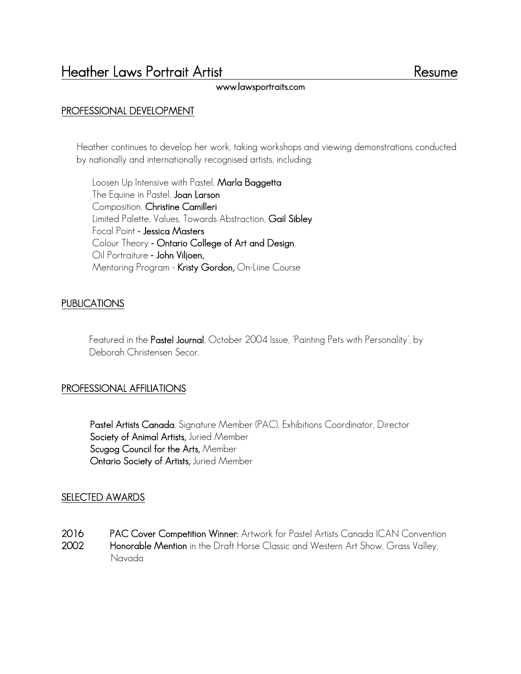# PROFESSIONAL DEVELOPMENT

Heather continues to develop her work, taking workshops and viewing demonstrations conducted by nationally and internationally recognised artists, including:

Loosen Up Intensive with Pastel, Marla Baggetta The Equine in Pastel, Joan Larson Composition, Christine Camilleri Limited Palette, Values, Towards Abstraction, Gail Sibley Focal Point - Jessica Masters Colour Theory - Ontario College of Art and Design, Oil Portraiture - John Viljoen, Mentoring Program - Kristy Gordon, On-Liine Course

# PUBLICATIONS

Featured in the Pastel Journal, October 2004 Issue, 'Painting Pets with Personality', by Deborah Christensen Secor.

### PROFESSIONAL AFFILIATIONS

Pastel Artists Canada, Signature Member (PAC), Exhibitions Coordinator, Director Society of Animal Artists, Juried Member Scugog Council for the Arts, Member Ontario Society of Artists, Juried Member

### SELECTED AWARDS

2016 PAC Cover Competition Winner: Artwork for Pastel Artists Canada ICAN Convention 2002 Honorable Mention in the Draft Horse Classic and Western Art Show, Grass Valley, Navada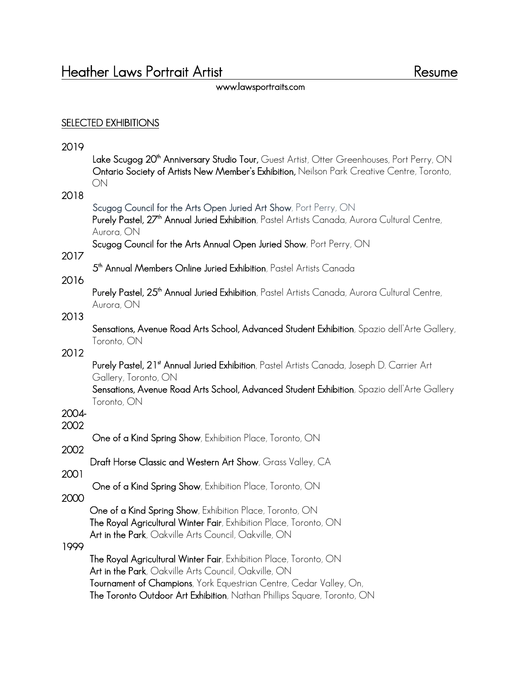# SELECTED EXHIBITIONS

# 2019

| ZUIY  | Lake Scugog 20 <sup>th</sup> Anniversary Studio Tour, Guest Artist, Otter Greenhouses, Port Perry, ON<br>Ontario Society of Artists New Member's Exhibition, Neilson Park Creative Centre, Toronto,<br>ON                                                         |
|-------|-------------------------------------------------------------------------------------------------------------------------------------------------------------------------------------------------------------------------------------------------------------------|
| 2018  | Scugog Council for the Arts Open Juried Art Show, Port Perry, ON<br>Purely Pastel, 27 <sup>th</sup> Annual Juried Exhibition, Pastel Artists Canada, Aurora Cultural Centre,<br>Aurora, ON<br>Scugog Council for the Arts Annual Open Juried Show, Port Perry, ON |
| 2017  | 5 <sup>th</sup> Annual Members Online Juried Exhibition, Pastel Artists Canada                                                                                                                                                                                    |
| 2016  |                                                                                                                                                                                                                                                                   |
|       | Purely Pastel, 25 <sup>th</sup> Annual Juried Exhibition, Pastel Artists Canada, Aurora Cultural Centre,<br>Aurora, ON                                                                                                                                            |
| 2013  | Sensations, Avenue Road Arts School, Advanced Student Exhibition, Spazio dell'Arte Gallery,<br>Toronto, ON                                                                                                                                                        |
| 2012  | Purely Pastel, 21 <sup>st</sup> Annual Juried Exhibition, Pastel Artists Canada, Joseph D. Carrier Art<br>Gallery, Toronto, ON                                                                                                                                    |
| 2004- | Sensations, Avenue Road Arts School, Advanced Student Exhibition, Spazio dell'Arte Gallery<br>Toronto, ON                                                                                                                                                         |
| 2002  |                                                                                                                                                                                                                                                                   |
| 2002  | One of a Kind Spring Show, Exhibition Place, Toronto, ON                                                                                                                                                                                                          |
|       | Draft Horse Classic and Western Art Show, Grass Valley, CA                                                                                                                                                                                                        |
| 2001  | One of a Kind Spring Show, Exhibition Place, Toronto, ON                                                                                                                                                                                                          |
| 2000  |                                                                                                                                                                                                                                                                   |
|       | One of a Kind Spring Show, Exhibition Place, Toronto, ON<br><b>The Royal Agricultural Winter Fair</b> , Exhibition Place, Toronto, ON<br><b>Art in the Park</b> , Oakville Arts Council, Oakville, ON                                                             |
| 1999  |                                                                                                                                                                                                                                                                   |
|       | The Royal Agricultural Winter Fair, Exhibition Place, Toronto, ON<br>Art in the Park, Oakville Arts Council, Oakville, ON                                                                                                                                         |
|       | Tournament of Champions, York Equestrian Centre, Cedar Valley, On,<br>The Toronto Outdoor Art Exhibition, Nathan Phillips Square, Toronto, ON                                                                                                                     |